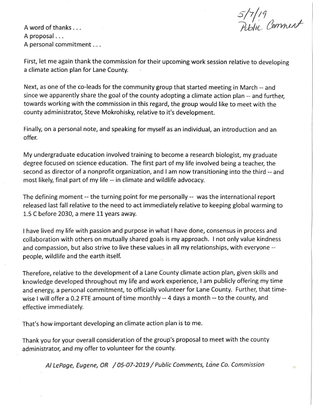5/7/19<br>Public Comment

A word of thanks .. . A proposal ... A personal commitment .. . .

First, let me again thank the commission for their upcoming work session relative to developing a climate action plan for Lane County.

Next, as one of the co-leads for the community group that started meeting in March -- and since we apparently share the goal of the county adopting a climate action plan -- and further, towards working with the commission in this regard, the group would like to meet with the county administrator, Steve Mokrohisky, relative to it's development.

Finally, on a personal note, and speaking for myself as an individual, an introduction and an offer.

My undergraduate education involved training to become a research biologist, my graduate degree focused on science education. The first part of my life involved being a teacher, the second as director of a nonprofit organization, and I am now transitioning into the third -- and most likely, final part of my life -- in climate and wildlife advocacy.

The defining moment -- the turning point for me personally -- was the international report released last fall relative to the need to act immediately relative to keeping global warming to 1.5 C before 2030, a mere 11 years away.

I have lived my life with passion and purpose in what I have done, consensus in process and collaboration with others on mutually shared goals is my approach. I not only value kindness and compassion, but also strive to live these values in all my relationships, with everyone - people, wildlife and the earth itself.

Therefore, relative to the development of a Lane County climate action plan, given skills and knowledge developed throughout my life and work experience, I am publicly offering my time and energy, a personal commitment, to officially volunteer for Lane County. Further, that timewise I will offer a 0.2 FTE amount of time monthly -- 4 days a month -- to the county, and effective immediately.

That's how important developing an climate action plan is to me.

Thank you for your overall consideration of the group's proposal to meet with the county administrator, and my offer to volunteer for the county.

Al LePage, Eugene, OR / 05-07-2019 / Public Comments, Lane Co. Commission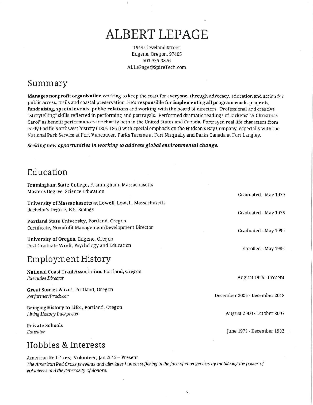# **ALBERT LEPAGE**

1944 Cleveland Street Eugene, Oregon,97405 503-335-3876 Al.LePage@SpireTech.com

# Summary

Manages nonprofit organization working to keep the coast for everyone, through advocacy, education and action for public access, trails and coastal preservation. He's responsible for implementing all program work, projects, fundraising, special events, public relations and working with the board of directors. Professional and creative "Storytelling" skills reflected in performing and portrayals. Performed dramatic readings of Dickens' "A Christmas Carol" as benefit periormances for charity both in the United States and Canada. Portrayed real life characters from early Pacific Northwest history (1805-1861) with special emphasis on the Hudson's Bay Company, especially with the National Park Service at Fort Vancouver, Parks Tacoma at Fort Nisqually and Parks Canada at Fort Langley.

*Seeking new opportunities in working to address global environmental change.* 

# Education

| Framingham State College, Framingham, Massachusetts<br>Master's Degree, Science Education             | Graduated - May 1979          |
|-------------------------------------------------------------------------------------------------------|-------------------------------|
| University of Massachusetts at Lowell, Lowell, Massachusetts<br>Bachelor's Degree, B.S. Biology       | Graduated - May 1976          |
| Portland State University, Portland, Oregon<br>Certificate, Nonpfofit Management/Development Director | Graduated - May 1999          |
| University of Oregon, Eugene, Oregon<br>Post Graduate Work, Psychology and Education                  | Enrolled - May 1986           |
| <b>Employment History</b>                                                                             |                               |
| National Coast Trail Association, Portland, Oregon<br><b>Executive Director</b>                       | August 1995 - Present         |
| Great Stories Alive!, Portland, Oregon<br>Performer/Producer                                          | December 2006 - December 2018 |
| Bringing History to Life!, Portland, Oregon<br>Living History Interpreter                             | August 2000 - October 2007    |
| <b>Private Schools</b><br>Educator                                                                    | June 1979 - December 1992     |
| Hobbies & Interests                                                                                   |                               |

American Red Cross, Volunteer, Jan 2015 - Present The American Red Cross prevents and alleviates human suffering in the face of emergencies by mobilizing the power of *volunteers and the generosity of donors.*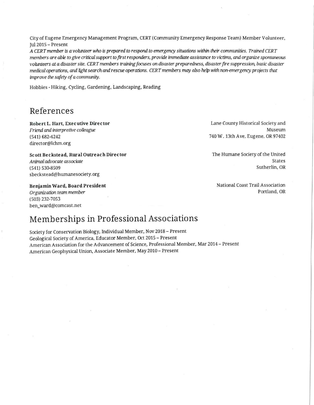City of Eugene Emergency Management Program, CERT (Cornmuniry Emergency Response Team) Member Volunteer, Jul 2015 - Present

*A CERT member is a volun.ceer* who *is prepared to respond to emergency situations* within *cheir communities. Trained CERT members are able to give critical support to first responders, provide immediate assistance to victims, and organize spontaneous volunteers at a disaster site. CERT members training focuses on disaster preparedness, disaster fire suppression, basic disaster medical opemtions, wlli light search wld rescue operations. CERT members nuzy also help with non-emergency projects that improve the safety of a community.* 

Hobbies - Hiking, Cycling, Gardening, Landscaping, Reading

#### References

Robert L. Hart, Executive Director *Friend and interpretive colleague*  (541) 682-4242 director@lchm.org

Scott Beckstead, Rural Outreach Director *Aninuil advocate associate*  (541) 530-8509 sbeckstead@hurnanesociety.org

Benjamin Ward, Board President

*Organization team member*  (503) 232-7053 ben\_ward@comcast.net

# Memberships in Professional Associations

Society for Conservation Biology, Individual Member, Nov 2018 - Present Geolog ical Society of America, Educator Member, Oct 2015 - Present American Association for the Advancement of Science, Professional Member, Mar 2014 - Present American Geophysical Union, Associate Member, May 2010 - Present

Lane County Historical Society and Museum 740 W. 13th Ave. Eugene. OR 97402

The Humane Sociery of the United States Surherlin, OR

National Coast Trail Association Portland, OR